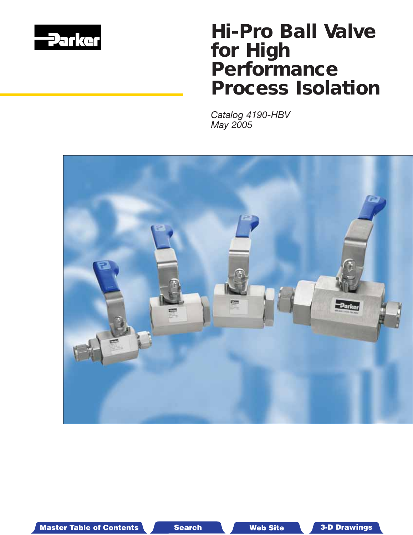

# *Hi-Pro Ball Valve for High Performance Process Isolation*

*Catalog 4190-HBV May 2005*



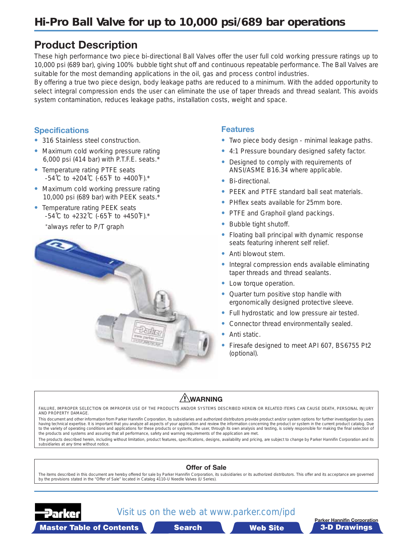## **Product Description**

These high performance two piece bi-directional Ball Valves offer the user full cold working pressure ratings up to 10,000 psi (689 bar), giving 100% bubble tight shut off and continuous repeatable performance. The Ball Valves are suitable for the most demanding applications in the oil, gas and process control industries.

By offering a true two piece design, body leakage paths are reduced to a minimum. With the added opportunity to select integral compression ends the user can eliminate the use of taper threads and thread sealant. This avoids system contamination, reduces leakage paths, installation costs, weight and space.

### **Specifications**

- **•** 316 Stainless steel construction.
- **•** Maximum cold working pressure rating 6,000 psi (414 bar) with P.T.F.E. seats.\*
- **•** Temperature rating PTFE seats -54˚C to +204˚C (-65˚F to +400˚F).\*
- **•** Maximum cold working pressure rating 10,000 psi (689 bar) with PEEK seats.\*
- **•** Temperature rating PEEK seats -54˚C to +232˚C (-65˚F to +450˚F).\*

\*always refer to P/T graph



#### **Features**

- **•** Two piece body design minimal leakage paths.
- **•** 4:1 Pressure boundary designed safety factor.
- **•** Designed to comply with requirements of ANSI/ASME B16.34 where applicable.
- **•** Bi-directional.
- **•** PEEK and PTFE standard ball seat materials.
- **•** PHflex seats available for 25mm bore.
- **•** PTFE and Graphoil gland packings.
- **•** Bubble tight shutoff.
- **•** Floating ball principal with dynamic response seats featuring inherent self relief.
- **•** Anti blowout stem.
- **•** Integral compression ends available eliminating taper threads and thread sealants.
- **•** Low torque operation.
- **•** Quarter turn positive stop handle with ergonomically designed protective sleeve.
- **•** Full hydrostatic and low pressure air tested.
- **•** Connector thread environmentally sealed.
- **•** Anti static.
- **•** Firesafe designed to meet API 607, BS6755 Pt2 (optional).

#### **WARNING**

FAILURE, IMPROPER SELECTION OR IMPROPER USE OF THE PRODUCTS AND/OR SYSTEMS DESCRIBED HEREIN OR RELATED ITEMS CAN CAUSE DEATH, PERSONAL INJURY AND PROPERTY DAMAGE.

This document and other information from Parker Hannifin Corporation, its subsidiaries and authorized distributors provide product and/or system options for further investigation by users having technical expertise. It is important that you analyze all aspects of your application and review the information concerning the product or system in the current product catalog. Due<br>to the variety of operating condi the products and systems and assuring that all performance, safety and warning requirements of the application are met.

The products described herein, including without limitation, product features, specifications, designs, availability and pricing, are subject to change by Parker Hannifin Corporation and its subsidiaries at any time without notice.





## Visit us on the web at www.parker.com/ipd



Master Table of Contents **3-D Drawings Search**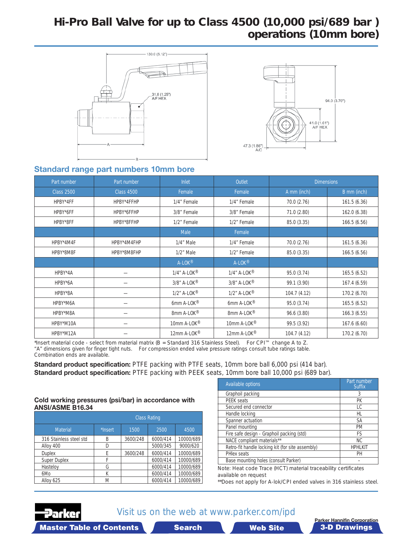## <span id="page-2-0"></span>*Hi-Pro Ball Valve for up to Class 4500 (10,000 psi/689 bar ) operations (10mm bore)*





### **Standard range part numbers 10mm bore**

| Part number       | Part number       | Inlet                   | Outlet                     | <b>Dimensions</b> |              |
|-------------------|-------------------|-------------------------|----------------------------|-------------------|--------------|
| <b>Class 2500</b> | <b>Class 4500</b> | Female                  | Female                     | A mm (inch)       | B mm (inch)  |
| HPBY*4FF          | HPBY*4FFHP        | 1/4" Female             | 1/4" Female                | 70.0 (2.76)       | 161.5 (6.36) |
| HPBY*6FF          | HPBY*6FFHP        | 3/8" Female             | 3/8" Female                | 71.0 (2.80)       | 162.0 (6.38) |
| HPBY*8FF          | HPBY*8FFHP        | 1/2" Female             | 1/2" Female                | 85.0 (3.35)       | 166.5 (6.56) |
|                   |                   | <b>Male</b>             | Female                     |                   |              |
| HPBY*4M4F         | HPBY*4M4FHP       | 1/4" Male               | 1/4" Female                | 70.0 (2.76)       | 161.5 (6.36) |
| HPBY*8M8F         | HPBY*8M8FHP       | $1/2$ " Male            | 1/2" Female                | 85.0 (3.35)       | 166.5(6.56)  |
|                   |                   | $A-LOK^{\circledR}$     | $A-LOK^{\circledR}$        |                   |              |
| HPBY*4A           |                   | $1/4$ " A-LOK®          | $1/4$ " A-LOK®             | 95.0(3.74)        | 165.5 (6.52) |
| HPBY*6A           |                   | $3/8$ " A-LOK®          | $3/8$ " A-LOK®             | 99.1 (3.90)       | 167.4 (6.59) |
| HPBY*8A           |                   | $1/2$ " A-LOK®          | $1/2$ " A-LOK <sup>®</sup> | 104.7(4.12)       | 170.2 (6.70) |
| HPBY*M6A          |                   | 6mm A-LOK <sup>®</sup>  | 6mm A-LOK <sup>®</sup>     | 95.0 (3.74)       | 165.5 (6.52) |
| HPBY*M8A          |                   | 8mm A-LOK®              | 8mm A-LOK <sup>®</sup>     | 96.6 (3.80)       | 166.3(6.55)  |
| HPBY*M10A         |                   | 10mm A-LOK <sup>®</sup> | 10mm A-LOK <sup>®</sup>    | 99.5 (3.92)       | 167.6 (6.60) |
| HPBY*M12A         |                   | 12mm A-LOK <sup>®</sup> | 12mm A-LOK <sup>®</sup>    | 104.7 (4.12)      | 170.2 (6.70) |

\*Insert material code - select from material matrix (B = Standard 316 Stainless Steel). For CPI™ change A to Z. "A" dimensions given for finger tight nuts. For compression ended valve pressure ratings consult tube ratings table. Combination ends are available.

**Standard product specification:** PTFE packing with PTFE seats, 10mm bore ball 6,000 psi (414 bar). **Standard product specification:** PTFE packing with PEEK seats, 10mm bore ball 10,000 psi (689 bar).

#### **Cold working pressures (psi/bar) in accordance with ANSI/ASME B16.34**

|                         | <b>Class Rating</b> |          |          |           |  |
|-------------------------|---------------------|----------|----------|-----------|--|
| <b>Material</b>         | *Insert             | 1500     | 2500     | 4500      |  |
| 316 Stainless steel std | B                   | 3600/248 | 6000/414 | 10000/689 |  |
| Alloy 400               | D                   |          | 5000/345 | 9000/620  |  |
| <b>Duplex</b>           | E                   | 3600/248 | 6000/414 | 10000/689 |  |
| <b>Super Duplex</b>     | F                   |          | 6000/414 | 10000/689 |  |
| Hasteloy                | G                   |          | 6000/414 | 10000/689 |  |
| 6Mo                     | К                   |          | 6000/414 | 10000/689 |  |
| Alloy 625               | M                   |          | 6000/414 | 10000/689 |  |

| <b>Available options</b>                         | Part number<br><b>Suffix</b> |
|--------------------------------------------------|------------------------------|
| Graphoil packing                                 | 3                            |
| <b>PEEK</b> seats                                | PK                           |
| Secured end connector                            | LC                           |
| Handle locking                                   | HL                           |
| Spanner actuation                                | <b>SA</b>                    |
| Panel mounting                                   | <b>PM</b>                    |
| Fire safe design - Graphoil packing (std)        | FS                           |
| NACE compliant materials**                       | NC.                          |
| Retro-fit handle locking kit (for site assembly) | <b>HPHLKIT</b>               |
| PHIex seats                                      | PH                           |
| Base mounting holes (consult Parker)             |                              |

Note: Heat code Trace (HCT) material traceability certificates available on request

\*\*Does not apply for A-lok/CPI ended valves in 316 stainless steel.



Visit us on the web at www.parker.com/ipd

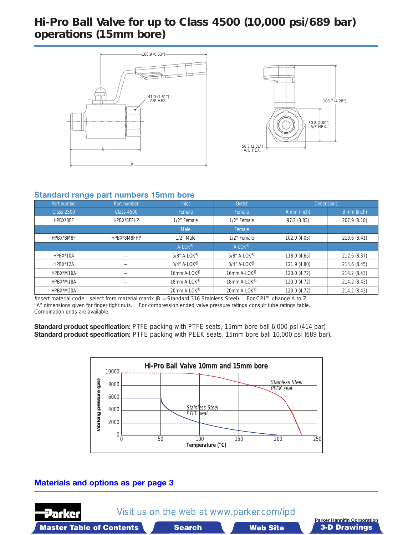## *Hi-Pro Ball Valve for up to Class 4500 (10,000 psi/689 bar) operations (15mm bore)*





#### **Standard range part numbers 15mm bore**

| Part number       | Part number       | <b>Inlet</b>                 | Outlet                       | <b>Dimensions</b> |              |
|-------------------|-------------------|------------------------------|------------------------------|-------------------|--------------|
| <b>Class 2500</b> | <b>Class 4500</b> | Female                       | Female                       | A mm (inch)       | B mm (inch)  |
| HPBX*8FF          | HPBX*8FFHP        | 1/2" Female                  | 1/2" Female                  | 97.2(3.83)        | 207.9 (8.18) |
|                   |                   | Male                         | Female                       |                   |              |
| HPBX*8M8F         | HPBX*8M8FHP       | $1/2$ " Male                 | 1/2" Female                  | 102.9 (4.05)      | 213.6 (8.41) |
|                   |                   | $A-LOK^{\circledR}$          | $A-LOK^{\circledR}$          |                   |              |
| HPBX*10A          |                   | $5/8$ " A-LOK $^{\circledR}$ | $5/8$ " A-LOK <sup>®</sup>   | 118.0 (4.65)      | 212.6 (8.37) |
| HPBX*12A          |                   | $3/4''$ A-LOK®               | $3/4$ " A-LOK $^{\circledR}$ | 121.9 (4.80)      | 214.6 (8.45) |
| HPBX*M16A         |                   | 16mm A-LOK <sup>®</sup>      | 16mm A-LOK <sup>®</sup>      | 120.0 (4.72)      | 214.2 (8.43) |
| HPBX*M18A         |                   | 18mm A-LOK <sup>®</sup>      | 18mm A-LOK <sup>®</sup>      | 120.0 (4.72)      | 214.2 (8.43) |
| HPBX*M20A         |                   | 20mm A-LOK®                  | 20mm A-LOK®                  | 120.0 (4.72)      | 214.2 (8.43) |

\*Insert material code - select from material matrix (B = Standard 316 Stainless Steel). For CPI™ change A to Z. "A" dimensions given for finger tight nuts. For compression ended valve pressure ratings consult tube ratings table. Combination ends are available.

**Standard product specification:** PTFE packing with PTFE seats, 15mm bore ball 6,000 psi (414 bar). **Standard product specification:** PTFE packing with PEEK seats, 15mm bore ball 10,000 psi (689 bar).



#### **[Materials and options as per page 3](#page-2-0)**

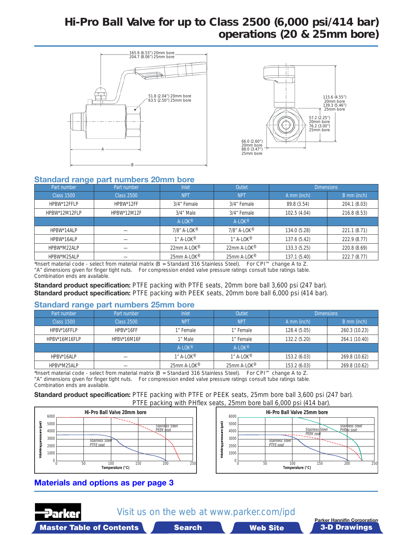## *Hi-Pro Ball Valve for up to Class 2500 (6,000 psi/414 bar) operations (20 & 25mm bore)*





#### **Standard range part numbers 20mm bore**

| $\sim$            |                   |                           |                           |                   |              |
|-------------------|-------------------|---------------------------|---------------------------|-------------------|--------------|
| Part number       | Part number       | Inlet                     | Outlet                    | <b>Dimensions</b> |              |
| <b>Class 1500</b> | <b>Class 2500</b> | <b>NPT</b>                | <b>NPT</b>                | A mm (inch)       | B mm (inch)  |
| HPBW*12FFLP       | HPBW*12FF         | 3/4" Female               | 3/4" Female               | 89.8 (3.54)       | 204.1 (8.03) |
| HPBW*12M12FLP     | HPBW*12M12F       | $3/4$ " Male              | 3/4" Female               | 102.5 (4.04)      | 216.8 (8.53) |
|                   |                   | $A-LOK^{\circledR}$       | $A-LOK^{\circledR}$       |                   |              |
| HPBW*14ALP        |                   | 7/8" A-LOK®               | $7/8$ " A-LOK®            | 134.0 (5.28)      | 221.1(8.71)  |
| HPBW*16ALP        |                   | $1''$ A-LOK <sup>®</sup>  | $1''$ A-LOK <sup>®</sup>  | 137.6 (5.42)      | 222.9 (8.77) |
| HPBW*M22ALP       |                   | 22mm A-LOK $^{\circledR}$ | 22mm A-LOK $^{\circledR}$ | 133.3 (5.25)      | 220.8 (8.69) |
| HPBW*M25ALP       |                   | 25mm A-LOK <sup>®</sup>   | 25mm A-LOK <sup>®</sup>   | 137.1(5.40)       | 222.7 (8.77) |

\*Insert material code - select from material matrix (B = Standard 316 Stainless Steel). For CPI™ change A to Z. "A" dimensions given for finger tight nuts. For compression ended valve pressure ratings consult tube ratings table. Combination ends are available.

**Standard product specification:** PTFE packing with PTFE seats, 20mm bore ball 3,600 psi (247 bar). **Standard product specification:** PTFE packing with PEEK seats, 20mm bore ball 6,000 psi (414 bar).

#### **Standard range part numbers 25mm bore**

| Part number   | Part number | <b>Inlet</b>             | Outlet                  | <b>Dimensions</b> |               |
|---------------|-------------|--------------------------|-------------------------|-------------------|---------------|
| Class 1500    | Class 2500  | <b>NPT</b>               | <b>NPT</b>              | A mm (inch)       | B mm (inch)   |
| HPBV*16FFLP   | HPBV*16FF   | 1" Female                | 1" Female               | 128.4 (5.05)      | 260.3 (10.23) |
| HPBV*16M16FLP | HPBV*16M16F | 1" Male                  | 1" Female               | 132.2 (5.20)      | 264.1 (10.40) |
|               |             | $A-LOK^{\circledR}$      | $A-LOK^{\circledR}$     |                   |               |
| HPBV*16ALP    |             | $1''$ A-LOK <sup>®</sup> | $1"$ A-LOK <sup>®</sup> | 153.2 (6.03)      | 269.8 (10.62) |
| HPBV*M25ALP   |             | 25mm A-LOK <sup>®</sup>  | 25mm A-LOK <sup>®</sup> | 153.2(6.03)       | 269.8 (10.62) |

\*Insert material code - select from material matrix (B = Standard 316 Stainless Steel). For CPI™ change A to Z. "A" dimensions given for finger tight nuts. For compression ended valve pressure ratings consult tube ratings table. Combination ends are available.

**Standard product specification:** PTFE packing with PTFE or PEEK seats, 25mm bore ball 3,600 psi (247 bar). PTFE packing with PHflex seats, 25mm bore ball 6,000 psi (414 bar).





### **[Materials and options as per page 3](#page-2-0)**



Visit us on the web at www.parker.com/ipd

Master Table of Contents **3-D Drawings Search** 

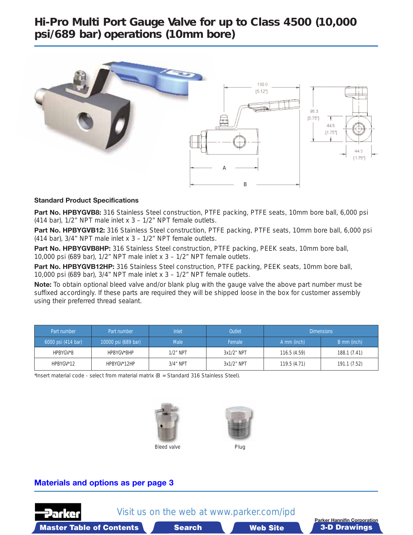## *Hi-Pro Multi Port Gauge Valve for up to Class 4500 (10,000 psi/689 bar) operations (10mm bore)*



#### **Standard Product Specifications**

Part No. HPBYGVB8: 316 Stainless Steel construction, PTFE packing, PTFE seats, 10mm bore ball, 6,000 psi (414 bar), 1/2" NPT male inlet x 3 – 1/2" NPT female outlets.

Part No. HPBYGVB12: 316 Stainless Steel construction, PTFE packing, PTFE seats, 10mm bore ball, 6,000 psi (414 bar), 3/4" NPT male inlet x 3 – 1/2" NPT female outlets.

Part No. HPBYGVB8HP: 316 Stainless Steel construction, PTFE packing, PEEK seats, 10mm bore ball, 10,000 psi (689 bar), 1/2" NPT male inlet x 3 – 1/2" NPT female outlets.

Part No. HPBYGVB12HP: 316 Stainless Steel construction, PTFE packing, PEEK seats, 10mm bore ball, 10,000 psi (689 bar), 3/4" NPT male inlet x 3 – 1/2" NPT female outlets.

**Note:** To obtain optional bleed valve and/or blank plug with the gauge valve the above part number must be suffixed accordingly. If these parts are required they will be shipped loose in the box for customer assembly using their preferred thread sealant.

| Part number        | Part number         | <b>Inlet</b> | <b>Outlet</b> |             | <b>Dimensions</b> |
|--------------------|---------------------|--------------|---------------|-------------|-------------------|
| 6000 psi (414 bar) | 10000 psi (689 bar) | <b>Male</b>  | Female        | A mm (inch) | B mm (inch)       |
| HPBYGV*8           | HPBYGV*8HP          | $1/2$ " NPT  | $3x1/2$ " NPT | 116.5(4.59) | 188.1 (7.41)      |
| HPBYGV*12          | HPBYGV*12HP         | $3/4$ " NPT  | $3x1/2$ " NPT | 119.5(4.71) | 191.1 (7.52)      |

\*Insert material code - select from material matrix (B = Standard 316 Stainless Steel).





#### **[Materials and options as per page 3](#page-2-0)**

Master Table of Contents **3-D Drawings Search** 



Visit us on the web at www.parker.com/ipd

**Farker Hannifin Corporation**<br>**Web Site 19th Site 19th Site 20 Prawings**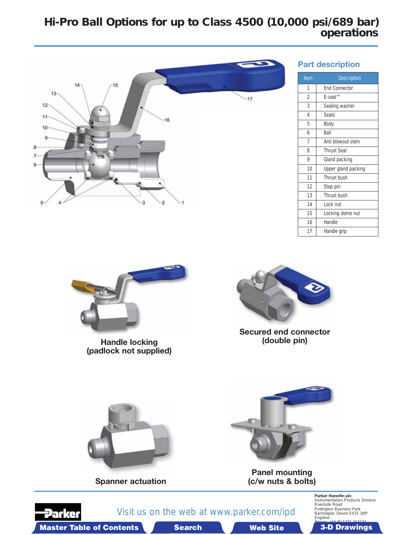## *Hi-Pro Ball Options for up to Class 4500 (10,000 psi/689 bar) operations*



#### **Part description**

| Item | <b>Description</b>   |
|------|----------------------|
| 1    | <b>End Connector</b> |
| 2    | $F$ -seal™           |
| 3    | Sealing washer       |
| 4    | <b>Seats</b>         |
| 5    | Body                 |
| 6    | Ball                 |
| 7    | Anti blowout stem    |
| 8    | <b>Thrust Seal</b>   |
| 9    | Gland packing        |
| 10   | Upper gland packing  |
| 11   | Thrust bush          |
| 12   | Stop pin             |
| 13   | Thrust bush          |
| 14   | Lock nut             |
| 15   | Locking dome nut     |
| 16   | Handle               |
| 17   | Handle grip          |



**Handle locking (padlock not supplied)**



**Secured end connector**



**Parker Hannifin plc**<br>
Instrumentation Products Division<br>
Riverside Road<br>
Pottington Business Park<br>
Barnstaple, Devon EX31 1NP England

Master Table of Contents **3-D Drawings Search Master Table of Contents 3-D Drawings Search** 

**Brawing**